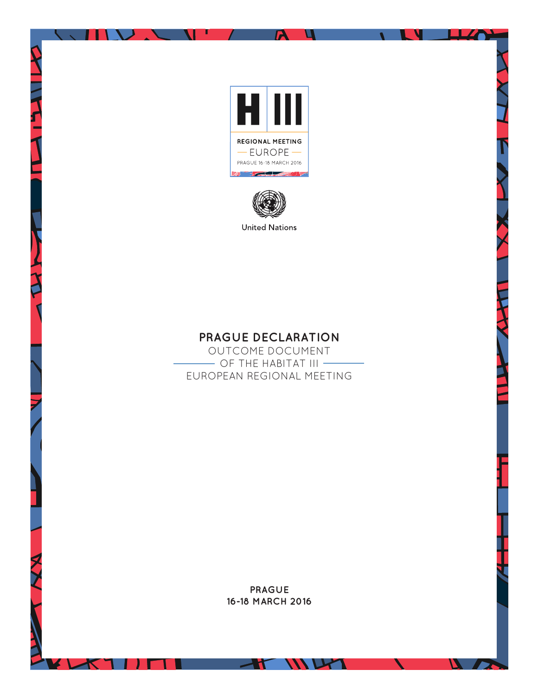

A.

Ч

**LLZA** 

 $\boldsymbol{\mathcal{L}}$ 

N

 $\blacksquare$ 

л

M

J . .



# **PRAGUE DECLARATION**

OUTCOME DOCUMENT  $-$  OF THE HABITAT III  $-$ EUROPEAN REGIONAL MEETING

> **PRAGUE 16-18 MARCH 2016**

> > WUM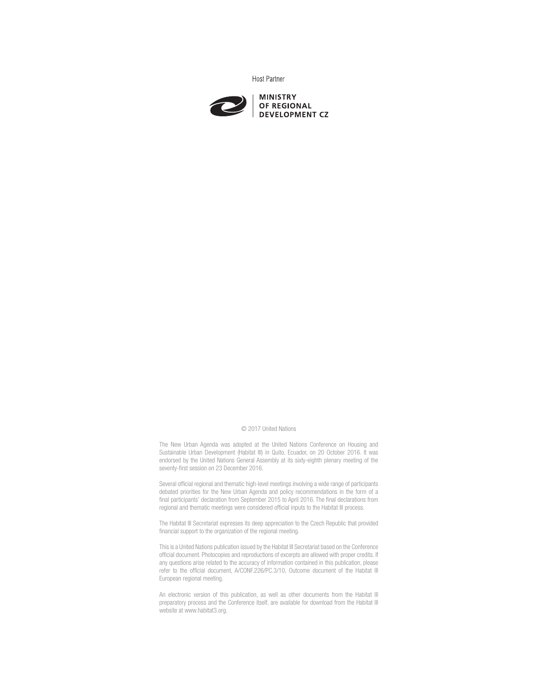**Host Partner** 



#### © 2017 United Nations

The New Urban Agenda was adopted at the United Nations Conference on Housing and Sustainable Urban Development (Habitat III) in Quito, Ecuador, on 20 October 2016. It was endorsed by the United Nations General Assembly at its sixty-eighth plenary meeting of the seventy-first session on 23 December 2016.

Several official regional and thematic high-level meetings involving a wide range of participants debated priorities for the New Urban Agenda and policy recommendations in the form of a final participants' declaration from September 2015 to April 2016. The final declarations from regional and thematic meetings were considered official inputs to the Habitat III process.

The Habitat III Secretariat expresses its deep appreciation to the Czech Republic that provided financial support to the organization of the regional meeting.

This is a United Nations publication issued by the Habitat III Secretariat based on the Conference official document. Photocopies and reproductions of excerpts are allowed with proper credits. If any questions arise related to the accuracy of information contained in this publication, please refer to the official document, A/CONF.226/PC.3/10, Outcome document of the Habitat III European regional meeting.

An electronic version of this publication, as well as other documents from the Habitat III preparatory process and the Conference itself, are available for download from the Habitat III website at www.habitat3.org.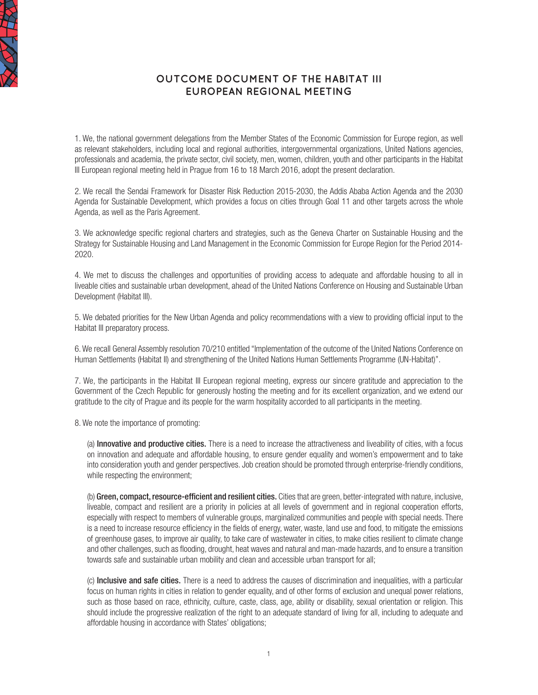

## **OUTCOME DOCUMENT OF THE HABITAT III EUROPEAN REGIONAL MEETING**

1. We, the national government delegations from the Member States of the Economic Commission for Europe region, as well as relevant stakeholders, including local and regional authorities, intergovernmental organizations, United Nations agencies, professionals and academia, the private sector, civil society, men, women, children, youth and other participants in the Habitat III European regional meeting held in Prague from 16 to 18 March 2016, adopt the present declaration.

2. We recall the Sendai Framework for Disaster Risk Reduction 2015-2030, the Addis Ababa Action Agenda and the 2030 Agenda for Sustainable Development, which provides a focus on cities through Goal 11 and other targets across the whole Agenda, as well as the Paris Agreement.

3. We acknowledge specific regional charters and strategies, such as the Geneva Charter on Sustainable Housing and the Strategy for Sustainable Housing and Land Management in the Economic Commission for Europe Region for the Period 2014- 2020.

4. We met to discuss the challenges and opportunities of providing access to adequate and affordable housing to all in liveable cities and sustainable urban development, ahead of the United Nations Conference on Housing and Sustainable Urban Development (Habitat III).

5. We debated priorities for the New Urban Agenda and policy recommendations with a view to providing official input to the Habitat III preparatory process.

6. We recall General Assembly resolution 70/210 entitled "Implementation of the outcome of the United Nations Conference on Human Settlements (Habitat II) and strengthening of the United Nations Human Settlements Programme (UN-Habitat)".

7. We, the participants in the Habitat III European regional meeting, express our sincere gratitude and appreciation to the Government of the Czech Republic for generously hosting the meeting and for its excellent organization, and we extend our gratitude to the city of Prague and its people for the warm hospitality accorded to all participants in the meeting.

8. We note the importance of promoting:

(a) Innovative and productive cities. There is a need to increase the attractiveness and liveability of cities, with a focus on innovation and adequate and affordable housing, to ensure gender equality and women's empowerment and to take into consideration youth and gender perspectives. Job creation should be promoted through enterprise-friendly conditions, while respecting the environment;

(b) Green, compact, resource-efficient and resilient cities. Cities that are green, better-integrated with nature, inclusive, liveable, compact and resilient are a priority in policies at all levels of government and in regional cooperation efforts, especially with respect to members of vulnerable groups, marginalized communities and people with special needs. There is a need to increase resource efficiency in the fields of energy, water, waste, land use and food, to mitigate the emissions of greenhouse gases, to improve air quality, to take care of wastewater in cities, to make cities resilient to climate change and other challenges, such as flooding, drought, heat waves and natural and man-made hazards, and to ensure a transition towards safe and sustainable urban mobility and clean and accessible urban transport for all;

(c) Inclusive and safe cities. There is a need to address the causes of discrimination and inequalities, with a particular focus on human rights in cities in relation to gender equality, and of other forms of exclusion and unequal power relations, such as those based on race, ethnicity, culture, caste, class, age, ability or disability, sexual orientation or religion. This should include the progressive realization of the right to an adequate standard of living for all, including to adequate and affordable housing in accordance with States' obligations;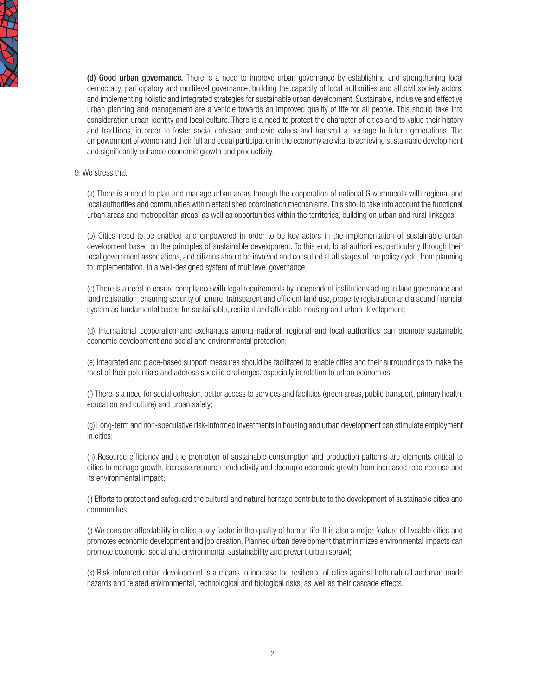

(d) Good urban governance. There is a need to improve urban governance by establishing and strengthening local democracy, participatory and multilevel governance, building the capacity of local authorities and all civil society actors, and implementing holistic and integrated strategies for sustainable urban development. Sustainable, inclusive and effective urban planning and management are a vehicle towards an improved quality of life for all people. This should take into consideration urban identity and local culture. There is a need to protect the character of cities and to value their history and traditions, in order to foster social cohesion and civic values and transmit a heritage to future generations. The empowerment of women and their full and equal participation in the economy are vital to achieving sustainable development and significantly enhance economic growth and productivity.

#### 9. We stress that:

(a) There is a need to plan and manage urban areas through the cooperation of national Governments with regional and local authorities and communities within established coordination mechanisms. This should take into account the functional urban areas and metropolitan areas, as well as opportunities within the territories, building on urban and rural linkages;

(b) Cities need to be enabled and empowered in order to be key actors in the implementation of sustainable urban development based on the principles of sustainable development. To this end, local authorities, particularly through their local government associations, and citizens should be involved and consulted at all stages of the policy cycle, from planning to implementation, in a well-designed system of multilevel governance;

(c) There is a need to ensure compliance with legal requirements by independent institutions acting in land governance and land registration, ensuring security of tenure, transparent and efficient land use, property registration and a sound financial system as fundamental bases for sustainable, resilient and affordable housing and urban development;

(d) International cooperation and exchanges among national, regional and local authorities can promote sustainable economic development and social and environmental protection;

(e) Integrated and place-based support measures should be facilitated to enable cities and their surroundings to make the most of their potentials and address specific challenges, especially in relation to urban economies;

(f) There is a need for social cohesion, better access to services and facilities (green areas, public transport, primary health, education and culture) and urban safety;

(g) Long-term and non-speculative risk-informed investments in housing and urban development can stimulate employment in cities;

(h) Resource efficiency and the promotion of sustainable consumption and production patterns are elements critical to cities to manage growth, increase resource productivity and decouple economic growth from increased resource use and its environmental impact;

(i) Efforts to protect and safeguard the cultural and natural heritage contribute to the development of sustainable cities and communities;

(j) We consider affordability in cities a key factor in the quality of human life. It is also a major feature of liveable cities and promotes economic development and job creation. Planned urban development that minimizes environmental impacts can promote economic, social and environmental sustainability and prevent urban sprawl;

(k) Risk-informed urban development is a means to increase the resilience of cities against both natural and man-made hazards and related environmental, technological and biological risks, as well as their cascade effects.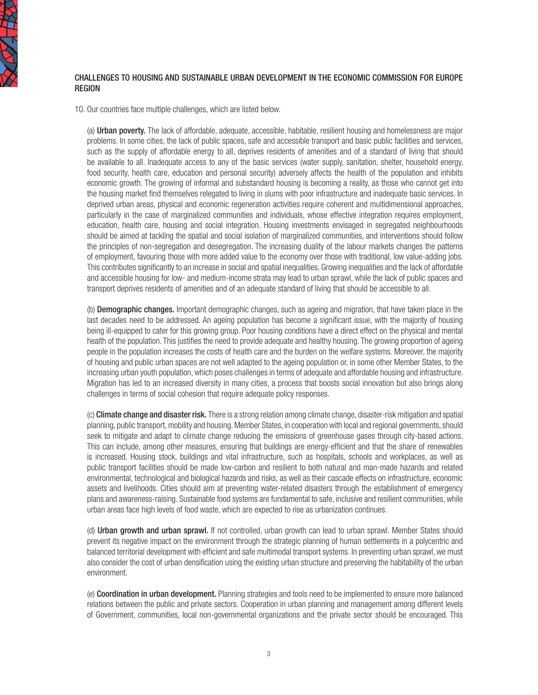

#### CHALLENGES TO HOUSING AND SUSTAINABLE URBAN DEVELOPMENT IN THE ECONOMIC COMMISSION FOR EUROPE **REGION**

10. Our countries face multiple challenges, which are listed below.

(a) Urban poverty. The lack of affordable, adequate, accessible, habitable, resilient housing and homelessness are major problems. In some cities, the lack of public spaces, safe and accessible transport and basic public facilities and services, such as the supply of affordable energy to all, deprives residents of amenities and of a standard of living that should be available to all. Inadequate access to any of the basic services (water supply, sanitation, shelter, household energy, food security, health care, education and personal security) adversely affects the health of the population and inhibits economic growth. The growing of informal and substandard housing is becoming a reality, as those who cannot get into the housing market find themselves relegated to living in slums with poor infrastructure and inadequate basic services. In deprived urban areas, physical and economic regeneration activities require coherent and multidimensional approaches, particularly in the case of marginalized communities and individuals, whose effective integration requires employment, education, health care, housing and social integration. Housing investments envisaged in segregated neighbourhoods should be aimed at tackling the spatial and social isolation of marginalized communities, and interventions should follow the principles of non-segregation and desegregation. The increasing duality of the labour markets changes the patterns of employment, favouring those with more added value to the economy over those with traditional, low value-adding jobs. This contributes significantly to an increase in social and spatial inequalities. Growing inequalities and the lack of affordable and accessible housing for low- and medium-income strata may lead to urban sprawl, while the lack of public spaces and transport deprives residents of amenities and of an adequate standard of living that should be accessible to all.

(b) Demographic changes. Important demographic changes, such as ageing and migration, that have taken place in the last decades need to be addressed. An ageing population has become a significant issue, with the majority of housing being ill-equipped to cater for this growing group. Poor housing conditions have a direct effect on the physical and mental health of the population. This justifies the need to provide adequate and healthy housing. The growing proportion of ageing people in the population increases the costs of health care and the burden on the welfare systems. Moreover, the majority of housing and public urban spaces are not well adapted to the ageing population or, in some other Member States, to the increasing urban youth population, which poses challenges in terms of adequate and affordable housing and infrastructure. Migration has led to an increased diversity in many cities, a process that boosts social innovation but also brings along challenges in terms of social cohesion that require adequate policy responses.

(c) Climate change and disaster risk. There is a strong relation among climate change, disaster-risk mitigation and spatial planning, public transport, mobility and housing. Member States, in cooperation with local and regional governments, should seek to mitigate and adapt to climate change reducing the emissions of greenhouse gases through city-based actions. This can include, among other measures, ensuring that buildings are energy-efficient and that the share of renewables is increased. Housing stock, buildings and vital infrastructure, such as hospitals, schools and workplaces, as well as public transport facilities should be made low-carbon and resilient to both natural and man-made hazards and related environmental, technological and biological hazards and risks, as well as their cascade effects on infrastructure, economic assets and livelihoods. Cities should aim at preventing water-related disasters through the establishment of emergency plans and awareness-raising. Sustainable food systems are fundamental to safe, inclusive and resilient communities, while urban areas face high levels of food waste, which are expected to rise as urbanization continues.

(d) Urban growth and urban sprawl. If not controlled, urban growth can lead to urban sprawl. Member States should prevent its negative impact on the environment through the strategic planning of human settlements in a polycentric and balanced territorial development with efficient and safe multimodal transport systems. In preventing urban sprawl, we must also consider the cost of urban densification using the existing urban structure and preserving the habitability of the urban environment.

(e) Coordination in urban development. Planning strategies and tools need to be implemented to ensure more balanced relations between the public and private sectors. Cooperation in urban planning and management among different levels of Government, communities, local non-governmental organizations and the private sector should be encouraged. This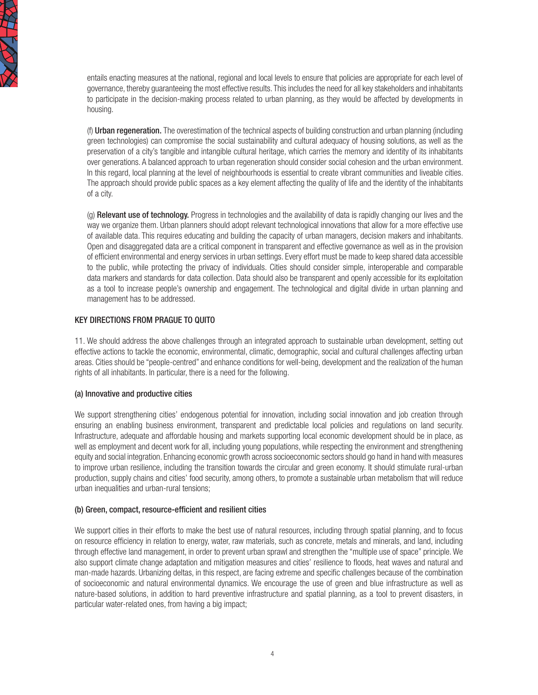

entails enacting measures at the national, regional and local levels to ensure that policies are appropriate for each level of governance, thereby guaranteeing the most effective results. This includes the need for all key stakeholders and inhabitants to participate in the decision-making process related to urban planning, as they would be affected by developments in housing.

(f) Urban regeneration. The overestimation of the technical aspects of building construction and urban planning (including green technologies) can compromise the social sustainability and cultural adequacy of housing solutions, as well as the preservation of a city's tangible and intangible cultural heritage, which carries the memory and identity of its inhabitants over generations. A balanced approach to urban regeneration should consider social cohesion and the urban environment. In this regard, local planning at the level of neighbourhoods is essential to create vibrant communities and liveable cities. The approach should provide public spaces as a key element affecting the quality of life and the identity of the inhabitants of a city.

(g) Relevant use of technology. Progress in technologies and the availability of data is rapidly changing our lives and the way we organize them. Urban planners should adopt relevant technological innovations that allow for a more effective use of available data. This requires educating and building the capacity of urban managers, decision makers and inhabitants. Open and disaggregated data are a critical component in transparent and effective governance as well as in the provision of efficient environmental and energy services in urban settings. Every effort must be made to keep shared data accessible to the public, while protecting the privacy of individuals. Cities should consider simple, interoperable and comparable data markers and standards for data collection. Data should also be transparent and openly accessible for its exploitation as a tool to increase people's ownership and engagement. The technological and digital divide in urban planning and management has to be addressed.

#### KEY DIRECTIONS FROM PRAGUE TO QUITO

11. We should address the above challenges through an integrated approach to sustainable urban development, setting out effective actions to tackle the economic, environmental, climatic, demographic, social and cultural challenges affecting urban areas. Cities should be "people-centred" and enhance conditions for well-being, development and the realization of the human rights of all inhabitants. In particular, there is a need for the following.

#### (a) Innovative and productive cities

We support strengthening cities' endogenous potential for innovation, including social innovation and job creation through ensuring an enabling business environment, transparent and predictable local policies and regulations on land security. Infrastructure, adequate and affordable housing and markets supporting local economic development should be in place, as well as employment and decent work for all, including young populations, while respecting the environment and strengthening equity and social integration. Enhancing economic growth across socioeconomic sectors should go hand in hand with measures to improve urban resilience, including the transition towards the circular and green economy. It should stimulate rural-urban production, supply chains and cities' food security, among others, to promote a sustainable urban metabolism that will reduce urban inequalities and urban-rural tensions;

### (b) Green, compact, resource-efficient and resilient cities

We support cities in their efforts to make the best use of natural resources, including through spatial planning, and to focus on resource efficiency in relation to energy, water, raw materials, such as concrete, metals and minerals, and land, including through effective land management, in order to prevent urban sprawl and strengthen the "multiple use of space" principle. We also support climate change adaptation and mitigation measures and cities' resilience to floods, heat waves and natural and man-made hazards. Urbanizing deltas, in this respect, are facing extreme and specific challenges because of the combination of socioeconomic and natural environmental dynamics. We encourage the use of green and blue infrastructure as well as nature-based solutions, in addition to hard preventive infrastructure and spatial planning, as a tool to prevent disasters, in particular water-related ones, from having a big impact;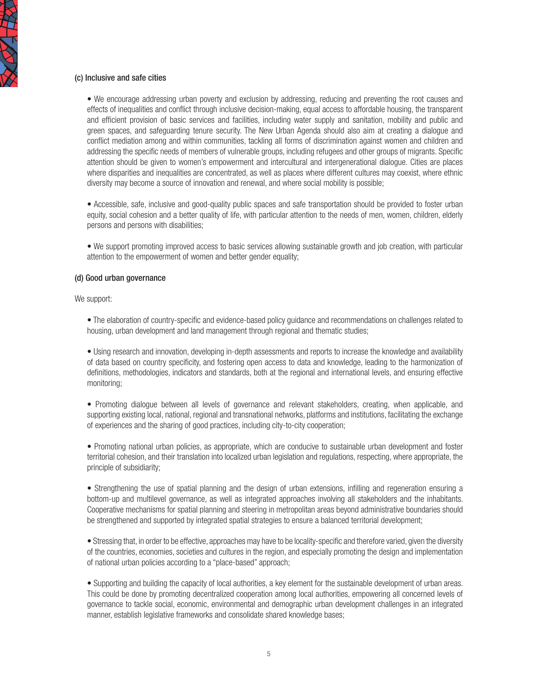#### (c) Inclusive and safe cities

• We encourage addressing urban poverty and exclusion by addressing, reducing and preventing the root causes and effects of inequalities and conflict through inclusive decision-making, equal access to affordable housing, the transparent and efficient provision of basic services and facilities, including water supply and sanitation, mobility and public and green spaces, and safeguarding tenure security. The New Urban Agenda should also aim at creating a dialogue and conflict mediation among and within communities, tackling all forms of discrimination against women and children and addressing the specific needs of members of vulnerable groups, including refugees and other groups of migrants. Specific attention should be given to women's empowerment and intercultural and intergenerational dialogue. Cities are places where disparities and inequalities are concentrated, as well as places where different cultures may coexist, where ethnic diversity may become a source of innovation and renewal, and where social mobility is possible;

• Accessible, safe, inclusive and good-quality public spaces and safe transportation should be provided to foster urban equity, social cohesion and a better quality of life, with particular attention to the needs of men, women, children, elderly persons and persons with disabilities;

• We support promoting improved access to basic services allowing sustainable growth and job creation, with particular attention to the empowerment of women and better gender equality;

#### (d) Good urban governance

We support:

• The elaboration of country-specific and evidence-based policy guidance and recommendations on challenges related to housing, urban development and land management through regional and thematic studies;

• Using research and innovation, developing in-depth assessments and reports to increase the knowledge and availability of data based on country specificity, and fostering open access to data and knowledge, leading to the harmonization of definitions, methodologies, indicators and standards, both at the regional and international levels, and ensuring effective monitoring;

• Promoting dialogue between all levels of governance and relevant stakeholders, creating, when applicable, and supporting existing local, national, regional and transnational networks, platforms and institutions, facilitating the exchange of experiences and the sharing of good practices, including city-to-city cooperation;

• Promoting national urban policies, as appropriate, which are conducive to sustainable urban development and foster territorial cohesion, and their translation into localized urban legislation and regulations, respecting, where appropriate, the principle of subsidiarity;

• Strengthening the use of spatial planning and the design of urban extensions, infilling and regeneration ensuring a bottom-up and multilevel governance, as well as integrated approaches involving all stakeholders and the inhabitants. Cooperative mechanisms for spatial planning and steering in metropolitan areas beyond administrative boundaries should be strengthened and supported by integrated spatial strategies to ensure a balanced territorial development;

• Stressing that, in order to be effective, approaches may have to be locality-specific and therefore varied, given the diversity of the countries, economies, societies and cultures in the region, and especially promoting the design and implementation of national urban policies according to a "place-based" approach;

• Supporting and building the capacity of local authorities, a key element for the sustainable development of urban areas. This could be done by promoting decentralized cooperation among local authorities, empowering all concerned levels of governance to tackle social, economic, environmental and demographic urban development challenges in an integrated manner, establish legislative frameworks and consolidate shared knowledge bases;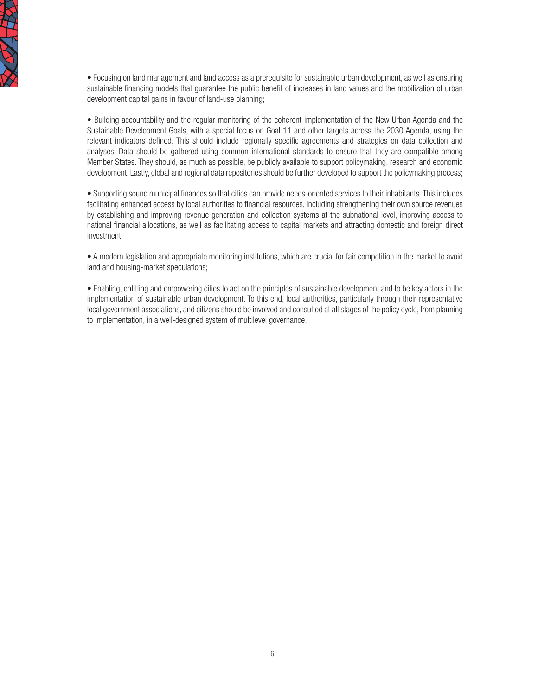

• Focusing on land management and land access as a prerequisite for sustainable urban development, as well as ensuring sustainable financing models that guarantee the public benefit of increases in land values and the mobilization of urban development capital gains in favour of land-use planning;

• Building accountability and the regular monitoring of the coherent implementation of the New Urban Agenda and the Sustainable Development Goals, with a special focus on Goal 11 and other targets across the 2030 Agenda, using the relevant indicators defined. This should include regionally specific agreements and strategies on data collection and analyses. Data should be gathered using common international standards to ensure that they are compatible among Member States. They should, as much as possible, be publicly available to support policymaking, research and economic development. Lastly, global and regional data repositories should be further developed to support the policymaking process;

• Supporting sound municipal finances so that cities can provide needs-oriented services to their inhabitants. This includes facilitating enhanced access by local authorities to financial resources, including strengthening their own source revenues by establishing and improving revenue generation and collection systems at the subnational level, improving access to national financial allocations, as well as facilitating access to capital markets and attracting domestic and foreign direct investment;

• A modern legislation and appropriate monitoring institutions, which are crucial for fair competition in the market to avoid land and housing-market speculations;

• Enabling, entitling and empowering cities to act on the principles of sustainable development and to be key actors in the implementation of sustainable urban development. To this end, local authorities, particularly through their representative local government associations, and citizens should be involved and consulted at all stages of the policy cycle, from planning to implementation, in a well-designed system of multilevel governance.